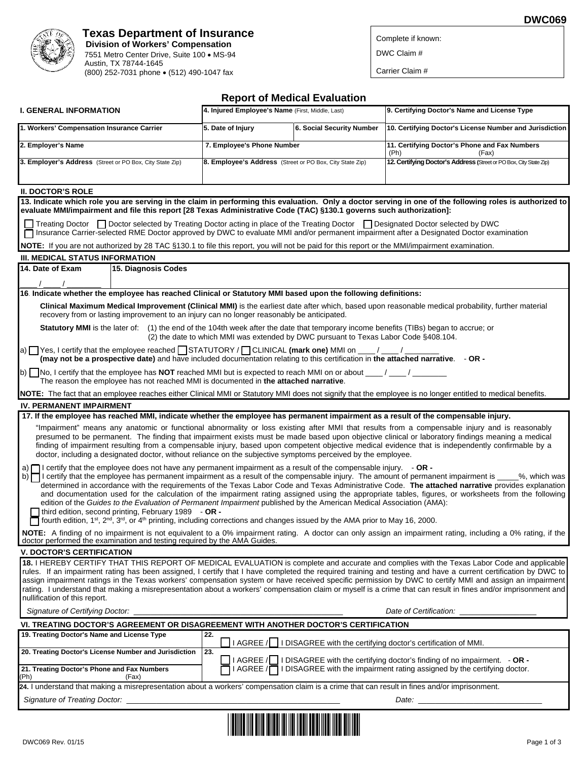

# **Texas Department of Insurance Division of Workers' Compensation**  7551 Metro Center Drive, Suite 100 · MS-94

 Austin, TX 78744-1645 (800) 252-7031 phone (512) 490-1047 fax Complete if known:

**DWC069** 

DWC Claim #

Carrier Claim #

| <b>Report of Medical Evaluation</b>                                                                                                                                                                                                                                                                                                                                                                                                                                                                                                                                                                                                                      |                                                          |                                                                                      |                                                                                                                                                                                                                                                                                                                                                                                                                                                        |  |  |  |
|----------------------------------------------------------------------------------------------------------------------------------------------------------------------------------------------------------------------------------------------------------------------------------------------------------------------------------------------------------------------------------------------------------------------------------------------------------------------------------------------------------------------------------------------------------------------------------------------------------------------------------------------------------|----------------------------------------------------------|--------------------------------------------------------------------------------------|--------------------------------------------------------------------------------------------------------------------------------------------------------------------------------------------------------------------------------------------------------------------------------------------------------------------------------------------------------------------------------------------------------------------------------------------------------|--|--|--|
| <b>I. GENERAL INFORMATION</b>                                                                                                                                                                                                                                                                                                                                                                                                                                                                                                                                                                                                                            | 4. Injured Employee's Name (First, Middle, Last)         |                                                                                      | 9. Certifying Doctor's Name and License Type                                                                                                                                                                                                                                                                                                                                                                                                           |  |  |  |
| 1. Workers' Compensation Insurance Carrier                                                                                                                                                                                                                                                                                                                                                                                                                                                                                                                                                                                                               | 5. Date of Injury                                        | 6. Social Security Number                                                            | 10. Certifying Doctor's License Number and Jurisdiction                                                                                                                                                                                                                                                                                                                                                                                                |  |  |  |
| 2. Employer's Name                                                                                                                                                                                                                                                                                                                                                                                                                                                                                                                                                                                                                                       | 7. Employee's Phone Number                               |                                                                                      | 11. Certifying Doctor's Phone and Fax Numbers<br>(Ph)<br>(Fax)                                                                                                                                                                                                                                                                                                                                                                                         |  |  |  |
| 3. Employer's Address (Street or PO Box, City State Zip)                                                                                                                                                                                                                                                                                                                                                                                                                                                                                                                                                                                                 | 8. Employee's Address (Street or PO Box, City State Zip) |                                                                                      | 12. Certifying Doctor's Address (Street or PO Box, City State Zip)                                                                                                                                                                                                                                                                                                                                                                                     |  |  |  |
| <b>II. DOCTOR'S ROLE</b>                                                                                                                                                                                                                                                                                                                                                                                                                                                                                                                                                                                                                                 |                                                          |                                                                                      |                                                                                                                                                                                                                                                                                                                                                                                                                                                        |  |  |  |
| evaluate MMI/impairment and file this report [28 Texas Administrative Code (TAC) §130.1 governs such authorization]:                                                                                                                                                                                                                                                                                                                                                                                                                                                                                                                                     |                                                          |                                                                                      | 13. Indicate which role you are serving in the claim in performing this evaluation. Only a doctor serving in one of the following roles is authorized to                                                                                                                                                                                                                                                                                               |  |  |  |
| Treating Doctor <b>Doctor selected by Treating Doctor acting in place of the Treating Doctor </b> Designated Doctor selected by DWC<br>Insurance Carrier-selected RME Doctor approved by DWC to evaluate MMI and/or permanent impairment after a Designated Doctor examination                                                                                                                                                                                                                                                                                                                                                                           |                                                          |                                                                                      |                                                                                                                                                                                                                                                                                                                                                                                                                                                        |  |  |  |
| <b>NOTE:</b> If you are not authorized by 28 TAC §130.1 to file this report, you will not be paid for this report or the MMI/impairment examination.                                                                                                                                                                                                                                                                                                                                                                                                                                                                                                     |                                                          |                                                                                      |                                                                                                                                                                                                                                                                                                                                                                                                                                                        |  |  |  |
| <b>III. MEDICAL STATUS INFORMATION</b>                                                                                                                                                                                                                                                                                                                                                                                                                                                                                                                                                                                                                   |                                                          |                                                                                      |                                                                                                                                                                                                                                                                                                                                                                                                                                                        |  |  |  |
| 14. Date of Exam<br>15. Diagnosis Codes                                                                                                                                                                                                                                                                                                                                                                                                                                                                                                                                                                                                                  |                                                          |                                                                                      |                                                                                                                                                                                                                                                                                                                                                                                                                                                        |  |  |  |
|                                                                                                                                                                                                                                                                                                                                                                                                                                                                                                                                                                                                                                                          |                                                          |                                                                                      |                                                                                                                                                                                                                                                                                                                                                                                                                                                        |  |  |  |
| 16. Indicate whether the employee has reached Clinical or Statutory MMI based upon the following definitions:                                                                                                                                                                                                                                                                                                                                                                                                                                                                                                                                            |                                                          |                                                                                      |                                                                                                                                                                                                                                                                                                                                                                                                                                                        |  |  |  |
| recovery from or lasting improvement to an injury can no longer reasonably be anticipated.                                                                                                                                                                                                                                                                                                                                                                                                                                                                                                                                                               |                                                          |                                                                                      | Clinical Maximum Medical Improvement (Clinical MMI) is the earliest date after which, based upon reasonable medical probability, further material                                                                                                                                                                                                                                                                                                      |  |  |  |
| Statutory MMI is the later of: (1) the end of the 104th week after the date that temporary income benefits (TIBs) began to accrue; or                                                                                                                                                                                                                                                                                                                                                                                                                                                                                                                    |                                                          | (2) the date to which MMI was extended by DWC pursuant to Texas Labor Code §408.104. |                                                                                                                                                                                                                                                                                                                                                                                                                                                        |  |  |  |
| a) T Yes, I certify that the employee reached TSTATUTORY / TCLINICAL (mark one) MMI on ___/___/_<br>(may not be a prospective date) and have included documentation relating to this certification in the attached narrative. - OR -                                                                                                                                                                                                                                                                                                                                                                                                                     |                                                          |                                                                                      |                                                                                                                                                                                                                                                                                                                                                                                                                                                        |  |  |  |
| b) $\Box$ No, I certify that the employee has <b>NOT</b> reached MMI but is expected to reach MMI on or about $\Box$ /<br>The reason the employee has not reached MMI is documented in the attached narrative.                                                                                                                                                                                                                                                                                                                                                                                                                                           |                                                          |                                                                                      |                                                                                                                                                                                                                                                                                                                                                                                                                                                        |  |  |  |
| NOTE: The fact that an employee reaches either Clinical MMI or Statutory MMI does not signify that the employee is no longer entitled to medical benefits.                                                                                                                                                                                                                                                                                                                                                                                                                                                                                               |                                                          |                                                                                      |                                                                                                                                                                                                                                                                                                                                                                                                                                                        |  |  |  |
| <b>IV. PERMANENT IMPAIRMENT</b>                                                                                                                                                                                                                                                                                                                                                                                                                                                                                                                                                                                                                          |                                                          |                                                                                      |                                                                                                                                                                                                                                                                                                                                                                                                                                                        |  |  |  |
| 17. If the employee has reached MMI, indicate whether the employee has permanent impairment as a result of the compensable injury.                                                                                                                                                                                                                                                                                                                                                                                                                                                                                                                       |                                                          |                                                                                      |                                                                                                                                                                                                                                                                                                                                                                                                                                                        |  |  |  |
| doctor, including a designated doctor, without reliance on the subjective symptoms perceived by the employee.                                                                                                                                                                                                                                                                                                                                                                                                                                                                                                                                            |                                                          |                                                                                      | "Impairment" means any anatomic or functional abnormality or loss existing after MMI that results from a compensable injury and is reasonably<br>presumed to be permanent. The finding that impairment exists must be made based upon objective clinical or laboratory findings meaning a medical<br>finding of impairment resulting from a compensable injury, based upon competent objective medical evidence that is independently confirmable by a |  |  |  |
| a) $\Box$ certify that the employee does not have any permanent impairment as a result of the compensable injury. $\Box$ OR -<br>b) $\Box$ I certify that the employee has permanent impairment as a result of the compensable injury. The amount of permanent impairment is $\Box$<br>edition of the Guides to the Evaluation of Permanent Impairment published by the American Medical Association (AMA):<br>third edition, second printing, February 1989 - $OR -$<br>T fourth edition, 1 <sup>st</sup> , 2 <sup>nd</sup> , 3 <sup>rd</sup> , or 4 <sup>th</sup> printing, including corrections and changes issued by the AMA prior to May 16, 2000. |                                                          |                                                                                      | %, which was<br>determined in accordance with the requirements of the Texas Labor Code and Texas Administrative Code. The attached narrative provides explanation<br>and documentation used for the calculation of the impairment rating assigned using the appropriate tables, figures, or worksheets from the following                                                                                                                              |  |  |  |
| doctor performed the examination and testing required by the AMA Guides.                                                                                                                                                                                                                                                                                                                                                                                                                                                                                                                                                                                 |                                                          |                                                                                      | NOTE: A finding of no impairment is not equivalent to a 0% impairment rating. A doctor can only assign an impairment rating, including a 0% rating, if the                                                                                                                                                                                                                                                                                             |  |  |  |
| <b>V. DOCTOR'S CERTIFICATION</b>                                                                                                                                                                                                                                                                                                                                                                                                                                                                                                                                                                                                                         |                                                          |                                                                                      |                                                                                                                                                                                                                                                                                                                                                                                                                                                        |  |  |  |
|                                                                                                                                                                                                                                                                                                                                                                                                                                                                                                                                                                                                                                                          |                                                          |                                                                                      |                                                                                                                                                                                                                                                                                                                                                                                                                                                        |  |  |  |

**18.** I HEREBY CERTIFY THAT THIS REPORT OF MEDICAL EVALUATION is complete and accurate and complies with the Texas Labor Code and applicable rules. If an impairment rating has been assigned, I certify that I have completed the required training and testing and have a current certification by DWC to assign impairment ratings in the Texas workers' compensation system or have received specific permission by DWC to certify MMI and assign an impairment rating. I understand that making a misrepresentation about a workers' compensation claim or myself is a crime that can result in fines and/or imprisonment and nullification of this report.

*Signature of Certifying Doctor:* \_\_\_\_\_\_\_\_\_\_\_\_\_\_\_\_\_\_\_\_\_\_\_\_\_\_\_\_\_\_\_\_\_\_\_\_\_\_\_\_\_\_\_\_\_\_\_\_\_ *Date of Certification:* \_\_\_\_\_\_\_\_\_\_\_\_\_\_\_\_\_\_

| VI. TREATING DOCTOR'S AGREEMENT OR DISAGREEMENT WITH ANOTHER DOCTOR'S CERTIFICATION                                                           |                                                                                                                                                                                       |  |  |  |  |
|-----------------------------------------------------------------------------------------------------------------------------------------------|---------------------------------------------------------------------------------------------------------------------------------------------------------------------------------------|--|--|--|--|
| 19. Treating Doctor's Name and License Type                                                                                                   | 22.                                                                                                                                                                                   |  |  |  |  |
|                                                                                                                                               | $\Box$ I AGREE / $\Box$ I DISAGREE with the certifying doctor's certification of MMI.                                                                                                 |  |  |  |  |
| 20. Treating Doctor's License Number and Jurisdiction                                                                                         | l 23.<br>■ I AGREE / I DISAGREE with the certifying doctor's finding of no impairment. - OR -<br>■ I AGREE / I DISAGREE with the impairment rating assigned by the certifying doctor. |  |  |  |  |
| 21. Treating Doctor's Phone and Fax Numbers<br>(Ph)<br>(Fax)                                                                                  |                                                                                                                                                                                       |  |  |  |  |
| 24. I understand that making a misrepresentation about a workers' compensation claim is a crime that can result in fines and/or imprisonment. |                                                                                                                                                                                       |  |  |  |  |
| <b>Signature of Treating Doctor:</b>                                                                                                          | Date:                                                                                                                                                                                 |  |  |  |  |

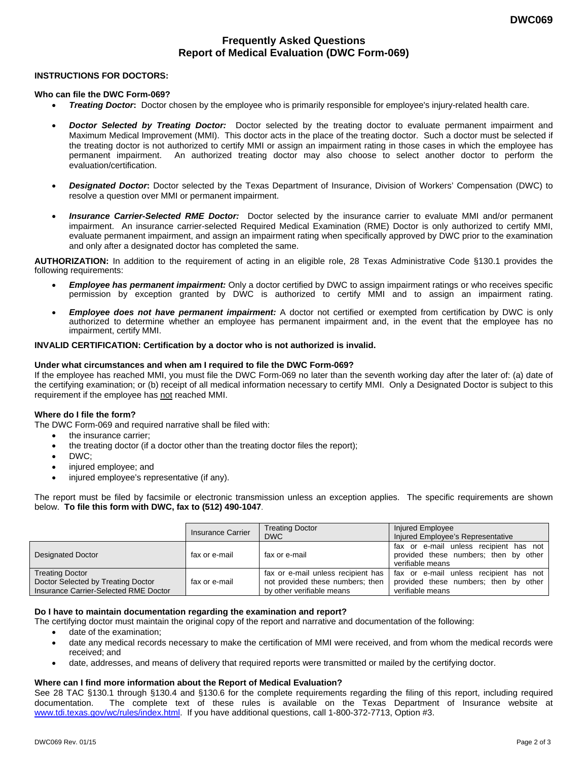# **Frequently Asked Questions Report of Medical Evaluation (DWC Form-069)**

## **INSTRUCTIONS FOR DOCTORS:**

#### **Who can file the DWC Form-069?**

- *Treating Doctor***:** Doctor chosen by the employee who is primarily responsible for employee's injury-related health care.
- *Doctor Selected by Treating Doctor:* Doctor selected by the treating doctor to evaluate permanent impairment and Maximum Medical Improvement (MMI). This doctor acts in the place of the treating doctor. Such a doctor must be selected if the treating doctor is not authorized to certify MMI or assign an impairment rating in those cases in which the employee has permanent impairment. An authorized treating doctor may also choose to select another doctor to perform the evaluation/certification.
- *Designated Doctor***:** Doctor selected by the Texas Department of Insurance, Division of Workers' Compensation (DWC) to resolve a question over MMI or permanent impairment.
- *Insurance Carrier-Selected RME Doctor:* Doctor selected by the insurance carrier to evaluate MMI and/or permanent impairment. An insurance carrier-selected Required Medical Examination (RME) Doctor is only authorized to certify MMI, evaluate permanent impairment, and assign an impairment rating when specifically approved by DWC prior to the examination and only after a designated doctor has completed the same.

**AUTHORIZATION:** In addition to the requirement of acting in an eligible role, 28 Texas Administrative Code §130.1 provides the following requirements:

- *Employee has permanent impairment:* Only a doctor certified by DWC to assign impairment ratings or who receives specific permission by exception granted by DWC is authorized to certify MMI and to assign an impairment rating.
- *Employee does not have permanent impairment:* A doctor not certified or exempted from certification by DWC is only authorized to determine whether an employee has permanent impairment and, in the event that the employee has no impairment, certify MMI.

### **INVALID CERTIFICATION: Certification by a doctor who is not authorized is invalid.**

### **Under what circumstances and when am I required to file the DWC Form-069?**

If the employee has reached MMI, you must file the DWC Form-069 no later than the seventh working day after the later of: (a) date of the certifying examination; or (b) receipt of all medical information necessary to certify MMI. Only a Designated Doctor is subject to this requirement if the employee has not reached MMI.

## **Where do I file the form?**

The DWC Form-069 and required narrative shall be filed with:

- the insurance carrier;
- the treating doctor (if a doctor other than the treating doctor files the report);
- DWC;
- injured employee; and
- injured employee's representative (if any).

The report must be filed by facsimile or electronic transmission unless an exception applies. The specific requirements are shown below. **To file this form with DWC, fax to (512) 490-1047**.

|                                                                                                       | <b>Insurance Carrier</b> | <b>Treating Doctor</b><br><b>DWC</b>                                                                | Injured Employee<br>Injured Employee's Representative                                               |
|-------------------------------------------------------------------------------------------------------|--------------------------|-----------------------------------------------------------------------------------------------------|-----------------------------------------------------------------------------------------------------|
| <b>Designated Doctor</b>                                                                              | fax or e-mail            | fax or e-mail                                                                                       | fax or e-mail unless recipient has not<br>provided these numbers; then by other<br>verifiable means |
| <b>Treating Doctor</b><br>Doctor Selected by Treating Doctor<br>Insurance Carrier-Selected RME Doctor | fax or e-mail            | fax or e-mail unless recipient has<br>not provided these numbers; then<br>by other verifiable means | fax or e-mail unless recipient has not<br>provided these numbers; then by other<br>verifiable means |

### **Do I have to maintain documentation regarding the examination and report?**

The certifying doctor must maintain the original copy of the report and narrative and documentation of the following:

- date of the examination;
- date any medical records necessary to make the certification of MMI were received, and from whom the medical records were received; and
- date, addresses, and means of delivery that required reports were transmitted or mailed by the certifying doctor.

#### **Where can I find more information about the Report of Medical Evaluation?**

See 28 TAC §130.1 through §130.4 and §130.6 for the complete requirements regarding the filing of this report, including required documentation. The complete text of these rules is available on the Texas Department of Insurance website at www.tdi.texas.gov/wc/rules/index.html. If you have additional questions, call 1-800-372-7713, Option #3.